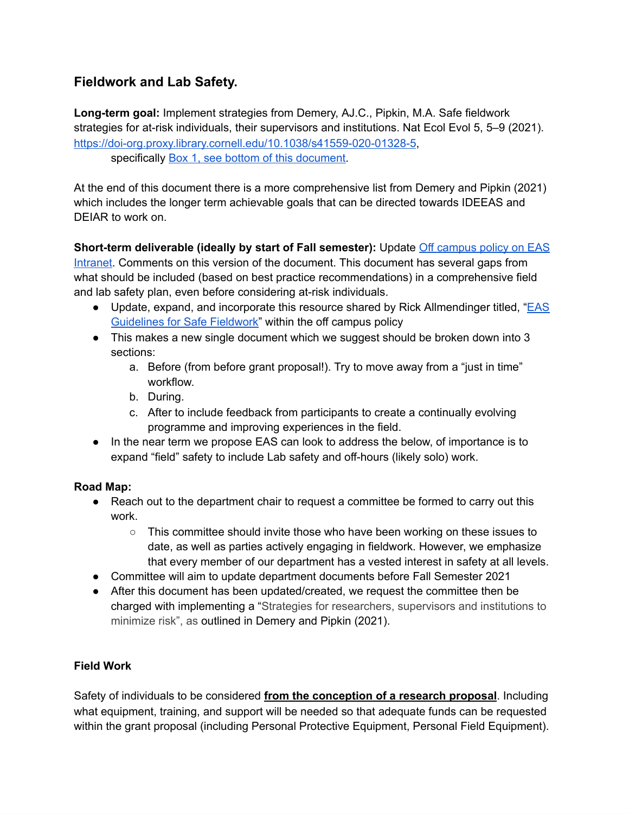# **Fieldwork and Lab Safety.**

**Long-term goal:** Implement strategies from Demery, AJ.C., Pipkin, M.A. Safe fieldwork strategies for at-risk individuals, their supervisors and institutions. Nat Ecol Evol 5, 5–9 (2021). <https://doi-org.proxy.library.cornell.edu/10.1038/s41559-020-01328-5>, specifically **Box 1, see bottom of this document**.

At the end of this document there is a more comprehensive list from Demery and Pipkin (2021) which includes the longer term achievable goals that can be directed towards IDEEAS and DEIAR to work on.

#### **Short-term deliverable (ideally by start of Fall semester):** Update Off [campus](https://docs.google.com/document/d/1nBoggo8WABerG3oLUwGsifsYbqQ9yUgCUeMVL1zwSkY/edit?usp=sharing) policy on EAS

[Intranet.](https://docs.google.com/document/d/1nBoggo8WABerG3oLUwGsifsYbqQ9yUgCUeMVL1zwSkY/edit?usp=sharing) Comments on this version of the document. This document has several gaps from what should be included (based on best practice recommendations) in a comprehensive field and lab safety plan, even before considering at-risk individuals.

- Update, expand, and incorporate this resource shared by Rick Allmendinger titled, ["EAS](https://docs.google.com/document/d/1OHXj_fto9tPPAuBrHgrzmQStFEOXY4WBVeQs6gzyiT8/edit?usp=sharing) [Guidelines](https://docs.google.com/document/d/1OHXj_fto9tPPAuBrHgrzmQStFEOXY4WBVeQs6gzyiT8/edit?usp=sharing) for Safe Fieldwork" within the off campus policy
- This makes a new single document which we suggest should be broken down into 3 sections:
	- a. Before (from before grant proposal!). Try to move away from a "just in time" workflow.
	- b. During.
	- c. After to include feedback from participants to create a continually evolving programme and improving experiences in the field.
- In the near term we propose EAS can look to address the below, of importance is to expand "field" safety to include Lab safety and off-hours (likely solo) work.

# **Road Map:**

- Reach out to the department chair to request a committee be formed to carry out this work.
	- This committee should invite those who have been working on these issues to date, as well as parties actively engaging in fieldwork. However, we emphasize that every member of our department has a vested interest in safety at all levels.
- Committee will aim to update department documents before Fall Semester 2021
- After this document has been updated/created, we request the committee then be charged with implementing a "Strategies for researchers, supervisors and institutions to minimize risk", as outlined in Demery and Pipkin (2021).

# **Field Work**

Safety of individuals to be considered **from the conception of a research proposal**. Including what equipment, training, and support will be needed so that adequate funds can be requested within the grant proposal (including Personal Protective Equipment, Personal Field Equipment).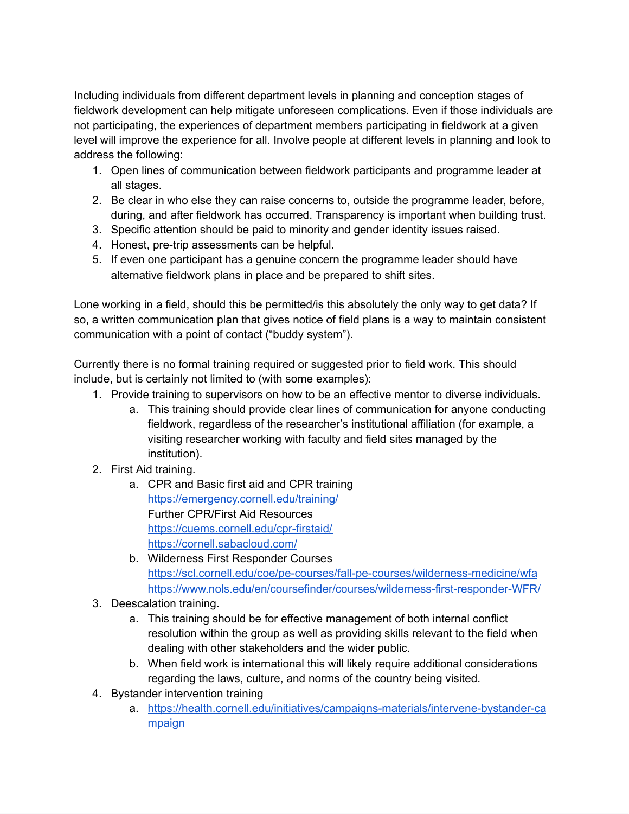Including individuals from different department levels in planning and conception stages of fieldwork development can help mitigate unforeseen complications. Even if those individuals are not participating, the experiences of department members participating in fieldwork at a given level will improve the experience for all. Involve people at different levels in planning and look to address the following:

- 1. Open lines of communication between fieldwork participants and programme leader at all stages.
- 2. Be clear in who else they can raise concerns to, outside the programme leader, before, during, and after fieldwork has occurred. Transparency is important when building trust.
- 3. Specific attention should be paid to minority and gender identity issues raised.
- 4. Honest, pre-trip assessments can be helpful.
- 5. If even one participant has a genuine concern the programme leader should have alternative fieldwork plans in place and be prepared to shift sites.

Lone working in a field, should this be permitted/is this absolutely the only way to get data? If so, a written communication plan that gives notice of field plans is a way to maintain consistent communication with a point of contact ("buddy system").

Currently there is no formal training required or suggested prior to field work. This should include, but is certainly not limited to (with some examples):

- 1. Provide training to supervisors on how to be an effective mentor to diverse individuals.
	- a. This training should provide clear lines of communication for anyone conducting fieldwork, regardless of the researcher's institutional affiliation (for example, a visiting researcher working with faculty and field sites managed by the institution).
- 2. First Aid training.
	- a. CPR and Basic first aid and CPR training <https://emergency.cornell.edu/training/> Further CPR/First Aid Resources <https://cuems.cornell.edu/cpr-firstaid/> [https://cornell.sabacloud.com/](https://emergency.cornell.edu/training/)
	- b. Wilderness First Responder Courses <https://scl.cornell.edu/coe/pe-courses/fall-pe-courses/wilderness-medicine/wfa> <https://www.nols.edu/en/coursefinder/courses/wilderness-first-responder-WFR/>
- 3. Deescalation training.
	- a. This training should be for effective management of both internal conflict resolution within the group as well as providing skills relevant to the field when dealing with other stakeholders and the wider public.
	- b. When field work is international this will likely require additional considerations regarding the laws, culture, and norms of the country being visited.
- 4. Bystander intervention training
	- a. [https://health.cornell.edu/initiatives/campaigns-materials/intervene-bystander-ca](https://health.cornell.edu/initiatives/campaigns-materials/intervene-bystander-campaign) [mpaign](https://health.cornell.edu/initiatives/campaigns-materials/intervene-bystander-campaign)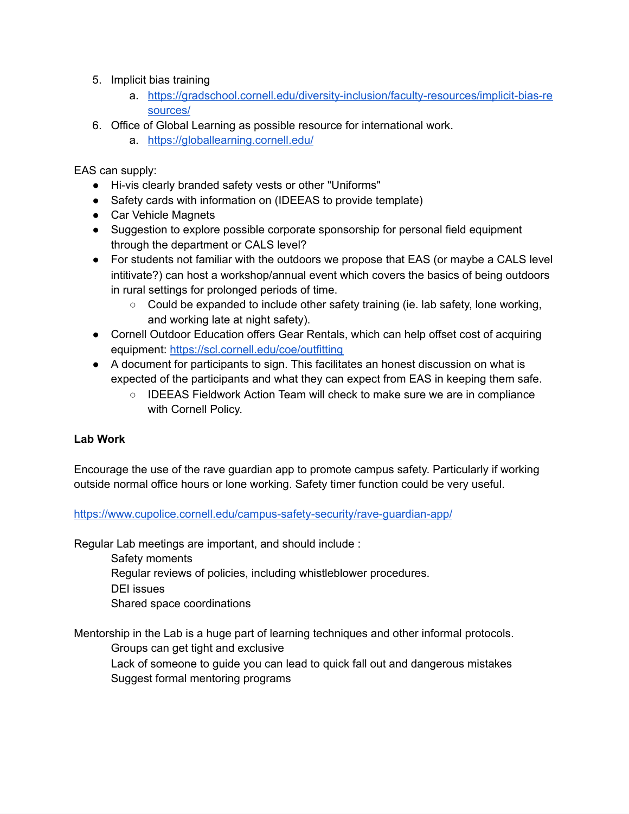- 5. Implicit bias training
	- a. [https://gradschool.cornell.edu/diversity-inclusion/faculty-resources/implicit-bias-re](https://gradschool.cornell.edu/diversity-inclusion/faculty-resources/implicit-bias-resources/) [sources/](https://gradschool.cornell.edu/diversity-inclusion/faculty-resources/implicit-bias-resources/)
- 6. Office of Global Learning as possible resource for international work.
	- a. <https://globallearning.cornell.edu/>

EAS can supply:

- Hi-vis clearly branded safety vests or other "Uniforms"
- Safety cards with information on (IDEEAS to provide template)
- Car Vehicle Magnets
- Suggestion to explore possible corporate sponsorship for personal field equipment through the department or CALS level?
- For students not familiar with the outdoors we propose that EAS (or maybe a CALS level intitivate?) can host a workshop/annual event which covers the basics of being outdoors in rural settings for prolonged periods of time.
	- Could be expanded to include other safety training (ie. lab safety, lone working, and working late at night safety).
- Cornell Outdoor Education offers Gear Rentals, which can help offset cost of acquiring equipment: <https://scl.cornell.edu/coe/outfitting>
- A document for participants to sign. This facilitates an honest discussion on what is expected of the participants and what they can expect from EAS in keeping them safe.
	- IDEEAS Fieldwork Action Team will check to make sure we are in compliance with Cornell Policy.

#### **Lab Work**

Encourage the use of the rave guardian app to promote campus safety. Particularly if working outside normal office hours or lone working. Safety timer function could be very useful.

#### <https://www.cupolice.cornell.edu/campus-safety-security/rave-guardian-app/>

Regular Lab meetings are important, and should include :

Safety moments

Regular reviews of policies, including whistleblower procedures.

DEI issues

Shared space coordinations

Mentorship in the Lab is a huge part of learning techniques and other informal protocols.

Groups can get tight and exclusive

Lack of someone to guide you can lead to quick fall out and dangerous mistakes Suggest formal mentoring programs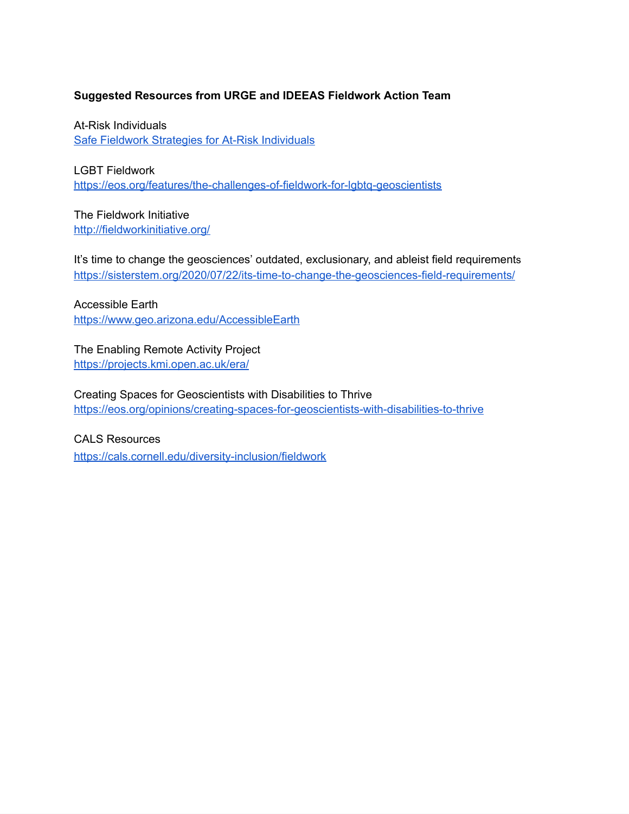#### **Suggested Resources from URGE and IDEEAS Fieldwork Action Team**

At-Risk Individuals Safe Fieldwork Strategies for At-Risk [Individuals](https://www.preprints.org/manuscript/202008.0021/v1)

LGBT Fieldwork <https://eos.org/features/the-challenges-of-fieldwork-for-lgbtq-geoscientists>

The Fieldwork Initiative <http://fieldworkinitiative.org/>

It's time to change the geosciences' outdated, exclusionary, and ableist field requirements <https://sisterstem.org/2020/07/22/its-time-to-change-the-geosciences-field-requirements/>

Accessible Earth <https://www.geo.arizona.edu/AccessibleEarth>

The Enabling Remote Activity Project <https://projects.kmi.open.ac.uk/era/>

Creating Spaces for Geoscientists with Disabilities to Thrive <https://eos.org/opinions/creating-spaces-for-geoscientists-with-disabilities-to-thrive>

CALS Resources <https://cals.cornell.edu/diversity-inclusion/fieldwork>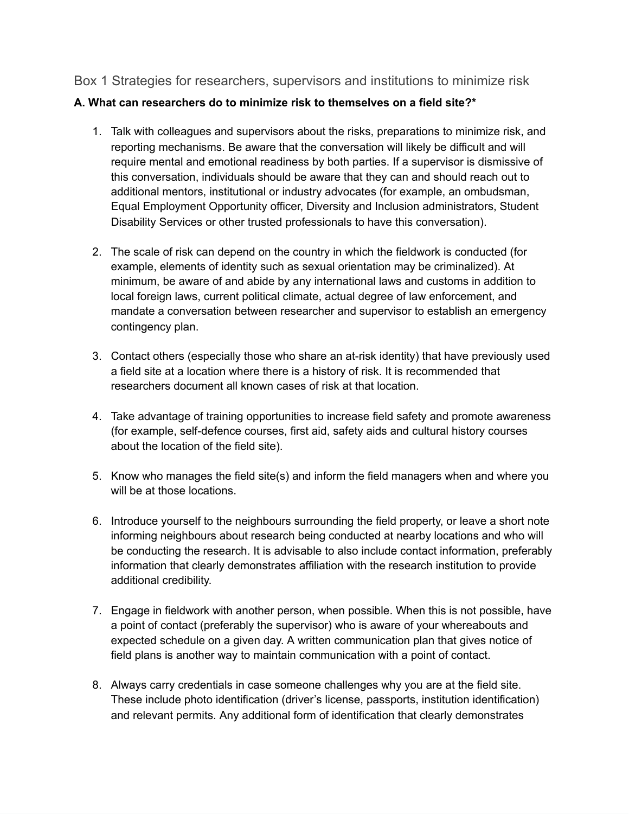### Box 1 Strategies for researchers, supervisors and institutions to minimize risk

#### **A. What can researchers do to minimize risk to themselves on a field site?\***

- 1. Talk with colleagues and supervisors about the risks, preparations to minimize risk, and reporting mechanisms. Be aware that the conversation will likely be difficult and will require mental and emotional readiness by both parties. If a supervisor is dismissive of this conversation, individuals should be aware that they can and should reach out to additional mentors, institutional or industry advocates (for example, an ombudsman, Equal Employment Opportunity officer, Diversity and Inclusion administrators, Student Disability Services or other trusted professionals to have this conversation).
- 2. The scale of risk can depend on the country in which the fieldwork is conducted (for example, elements of identity such as sexual orientation may be criminalized). At minimum, be aware of and abide by any international laws and customs in addition to local foreign laws, current political climate, actual degree of law enforcement, and mandate a conversation between researcher and supervisor to establish an emergency contingency plan.
- 3. Contact others (especially those who share an at-risk identity) that have previously used a field site at a location where there is a history of risk. It is recommended that researchers document all known cases of risk at that location.
- 4. Take advantage of training opportunities to increase field safety and promote awareness (for example, self-defence courses, first aid, safety aids and cultural history courses about the location of the field site).
- 5. Know who manages the field site(s) and inform the field managers when and where you will be at those locations.
- 6. Introduce yourself to the neighbours surrounding the field property, or leave a short note informing neighbours about research being conducted at nearby locations and who will be conducting the research. It is advisable to also include contact information, preferably information that clearly demonstrates affiliation with the research institution to provide additional credibility.
- 7. Engage in fieldwork with another person, when possible. When this is not possible, have a point of contact (preferably the supervisor) who is aware of your whereabouts and expected schedule on a given day. A written communication plan that gives notice of field plans is another way to maintain communication with a point of contact.
- 8. Always carry credentials in case someone challenges why you are at the field site. These include photo identification (driver's license, passports, institution identification) and relevant permits. Any additional form of identification that clearly demonstrates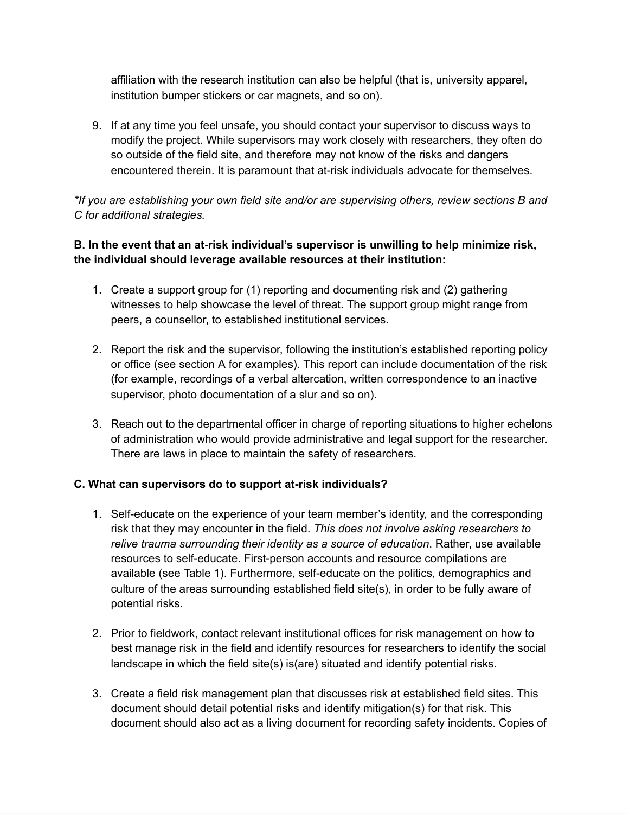affiliation with the research institution can also be helpful (that is, university apparel, institution bumper stickers or car magnets, and so on).

9. If at any time you feel unsafe, you should contact your supervisor to discuss ways to modify the project. While supervisors may work closely with researchers, they often do so outside of the field site, and therefore may not know of the risks and dangers encountered therein. It is paramount that at-risk individuals advocate for themselves.

*\*If you are establishing your own field site and/or are supervising others, review sections B and C for additional strategies.*

### **B. In the event that an at-risk individual's supervisor is unwilling to help minimize risk, the individual should leverage available resources at their institution:**

- 1. Create a support group for (1) reporting and documenting risk and (2) gathering witnesses to help showcase the level of threat. The support group might range from peers, a counsellor, to established institutional services.
- 2. Report the risk and the supervisor, following the institution's established reporting policy or office (see section A for examples). This report can include documentation of the risk (for example, recordings of a verbal altercation, written correspondence to an inactive supervisor, photo documentation of a slur and so on).
- 3. Reach out to the departmental officer in charge of reporting situations to higher echelons of administration who would provide administrative and legal support for the researcher. There are laws in place to maintain the safety of researchers.

#### **C. What can supervisors do to support at-risk individuals?**

- 1. Self-educate on the experience of your team member's identity, and the corresponding risk that they may encounter in the field. *This does not involve asking researchers to relive trauma surrounding their identity as a source of education*. Rather, use available resources to self-educate. First-person accounts and resource compilations are available (see Table 1). Furthermore, self-educate on the politics, demographics and culture of the areas surrounding established field site(s), in order to be fully aware of potential risks.
- 2. Prior to fieldwork, contact relevant institutional offices for risk management on how to best manage risk in the field and identify resources for researchers to identify the social landscape in which the field site(s) is(are) situated and identify potential risks.
- 3. Create a field risk management plan that discusses risk at established field sites. This document should detail potential risks and identify mitigation(s) for that risk. This document should also act as a living document for recording safety incidents. Copies of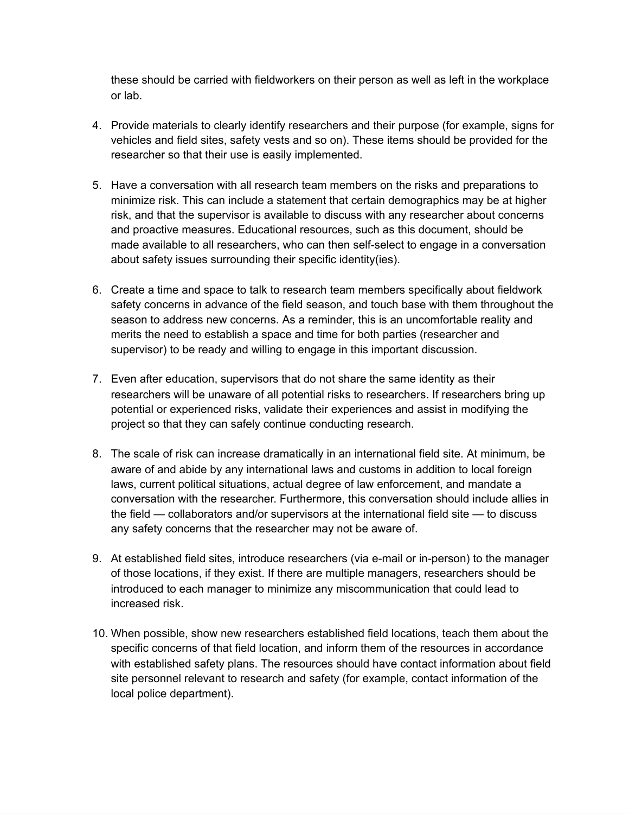these should be carried with fieldworkers on their person as well as left in the workplace or lab.

- 4. Provide materials to clearly identify researchers and their purpose (for example, signs for vehicles and field sites, safety vests and so on). These items should be provided for the researcher so that their use is easily implemented.
- 5. Have a conversation with all research team members on the risks and preparations to minimize risk. This can include a statement that certain demographics may be at higher risk, and that the supervisor is available to discuss with any researcher about concerns and proactive measures. Educational resources, such as this document, should be made available to all researchers, who can then self-select to engage in a conversation about safety issues surrounding their specific identity(ies).
- 6. Create a time and space to talk to research team members specifically about fieldwork safety concerns in advance of the field season, and touch base with them throughout the season to address new concerns. As a reminder, this is an uncomfortable reality and merits the need to establish a space and time for both parties (researcher and supervisor) to be ready and willing to engage in this important discussion.
- 7. Even after education, supervisors that do not share the same identity as their researchers will be unaware of all potential risks to researchers. If researchers bring up potential or experienced risks, validate their experiences and assist in modifying the project so that they can safely continue conducting research.
- 8. The scale of risk can increase dramatically in an international field site. At minimum, be aware of and abide by any international laws and customs in addition to local foreign laws, current political situations, actual degree of law enforcement, and mandate a conversation with the researcher. Furthermore, this conversation should include allies in the field — collaborators and/or supervisors at the international field site — to discuss any safety concerns that the researcher may not be aware of.
- 9. At established field sites, introduce researchers (via e-mail or in-person) to the manager of those locations, if they exist. If there are multiple managers, researchers should be introduced to each manager to minimize any miscommunication that could lead to increased risk.
- 10. When possible, show new researchers established field locations, teach them about the specific concerns of that field location, and inform them of the resources in accordance with established safety plans. The resources should have contact information about field site personnel relevant to research and safety (for example, contact information of the local police department).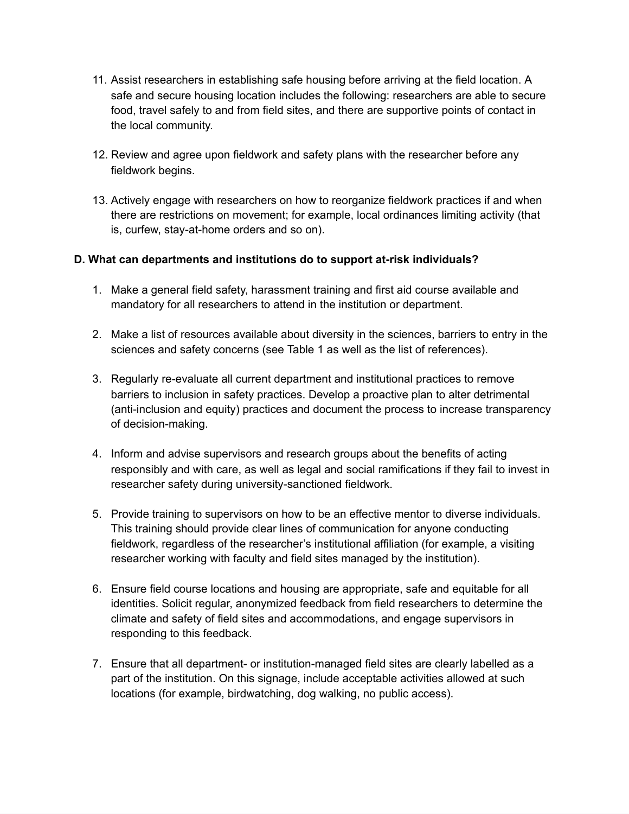- 11. Assist researchers in establishing safe housing before arriving at the field location. A safe and secure housing location includes the following: researchers are able to secure food, travel safely to and from field sites, and there are supportive points of contact in the local community.
- 12. Review and agree upon fieldwork and safety plans with the researcher before any fieldwork begins.
- 13. Actively engage with researchers on how to reorganize fieldwork practices if and when there are restrictions on movement; for example, local ordinances limiting activity (that is, curfew, stay-at-home orders and so on).

#### **D. What can departments and institutions do to support at-risk individuals?**

- 1. Make a general field safety, harassment training and first aid course available and mandatory for all researchers to attend in the institution or department.
- 2. Make a list of resources available about diversity in the sciences, barriers to entry in the sciences and safety concerns (see Table 1 as well as the list of references).
- 3. Regularly re-evaluate all current department and institutional practices to remove barriers to inclusion in safety practices. Develop a proactive plan to alter detrimental (anti-inclusion and equity) practices and document the process to increase transparency of decision-making.
- 4. Inform and advise supervisors and research groups about the benefits of acting responsibly and with care, as well as legal and social ramifications if they fail to invest in researcher safety during university-sanctioned fieldwork.
- 5. Provide training to supervisors on how to be an effective mentor to diverse individuals. This training should provide clear lines of communication for anyone conducting fieldwork, regardless of the researcher's institutional affiliation (for example, a visiting researcher working with faculty and field sites managed by the institution).
- 6. Ensure field course locations and housing are appropriate, safe and equitable for all identities. Solicit regular, anonymized feedback from field researchers to determine the climate and safety of field sites and accommodations, and engage supervisors in responding to this feedback.
- 7. Ensure that all department- or institution-managed field sites are clearly labelled as a part of the institution. On this signage, include acceptable activities allowed at such locations (for example, birdwatching, dog walking, no public access).